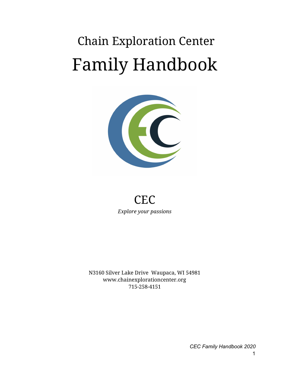# Chain Exploration Center Family Handbook



## **CEC** *Explore your passions*

N3160 Silver Lake Drive Waupaca, WI 54981 www.chainexplorationcenter.org 715-258-4151

*CEC Family Handbook 2020*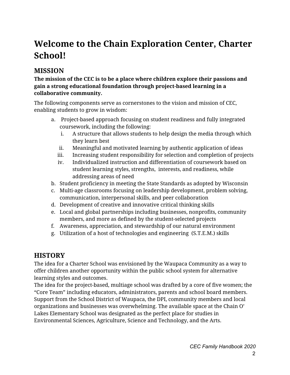# **Welcome to the Chain Exploration Center, Charter School!**

## **MISSION**

#### **The mission of the CEC is to be a place where children explore their passions and gain a strong educational foundation through project-based learning in a collaborative community.**

The following components serve as cornerstones to the vision and mission of CEC, enabling students to grow in wisdom:

- a. Project-based approach focusing on student readiness and fully integrated coursework, including the following:
	- i. A structure that allows students to help design the media through which they learn best
	- ii. Meaningful and motivated learning by authentic application of ideas
	- iii. Increasing student responsibility for selection and completion of projects
	- iv. Individualized instruction and differentiation of coursework based on student learning styles, strengths, interests, and readiness, while addressing areas of need
- b. Student proficiency in meeting the State Standards as adopted by Wisconsin
- c. Multi-age classrooms focusing on leadership development, problem solving, communication, interpersonal skills, and peer collaboration
- d. Development of creative and innovative critical thinking skills
- e. Local and global partnerships including businesses, nonprofits, community members, and more as defined by the student-selected projects
- f. Awareness, appreciation, and stewardship of our natural environment
- g. Utilization of a host of technologies and engineering (S.T.E.M.) skills

## **HISTORY**

The idea for a Charter School was envisioned by the Waupaca Community as a way to offer children another opportunity within the public school system for alternative learning styles and outcomes.

The idea for the project-based, multiage school was drafted by a core of five women; the "Core Team" including educators, administrators, parents and school board members. Support from the School District of Waupaca, the DPI, community members and local organizations and businesses was overwhelming. The available space at the Chain O' Lakes Elementary School was designated as the perfect place for studies in Environmental Sciences, Agriculture, Science and Technology, and the Arts.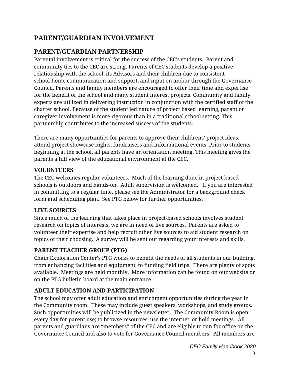## **PARENT/GUARDIAN INVOLVEMENT**

## **PARENT/GUARDIAN PARTNERSHIP**

Parental involvement is critical for the success of the CEC's students. Parent and community ties to the CEC are strong. Parents of CEC students develop a positive relationship with the school, its Advisors and their children due to consistent school-home communication and support, and input on and/or through the Governance Council. Parents and family members are encouraged to offer their time and expertise for the benefit of the school and many student interest projects. Community and family experts are utilized in delivering instruction in conjunction with the certified staff of the charter school. Because of the student led nature of project based learning, parent or caregiver involvement is more rigorous than in a traditional school setting. This partnership contributes to the increased success of the students.

There are many opportunities for parents to approve their childrens' project ideas, attend project showcase nights, fundraisers and informational events. Prior to students beginning at the school, all parents have an orientation meeting. This meeting gives the parents a full view of the educational environment at the CEC.

#### **VOLUNTEERS**

The CEC welcomes regular volunteers. Much of the learning done in project-based schools is outdoors and hands-on. Adult supervision is welcomed. If you are interested in committing to a regular time, please see the Administrator for a background check form and scheduling plan. See PTG below for further opportunities.

#### **LIVE SOURCES**

Since much of the learning that takes place in project-based schools involves student research on topics of interests, we are in need of live sources. Parents are asked to volunteer their expertise and help recruit other live sources to aid student research on topics of their choosing. A survey will be sent out regarding your interests and skills.

#### **PARENT TEACHER GROUP (PTG)**

Chain Exploration Center's PTG works to benefit the needs of all students in our building, from enhancing facilities and equipment, to funding field trips. There are plenty of spots available. Meetings are held monthly. More information can be found on our website or on the PTG bulletin board at the main entrance.

#### **ADULT EDUCATION AND PARTICIPATION**

The school may offer adult education and enrichment opportunities during the year in the Community room. These may include guest speakers, workshops, and study groups. Such opportunities will be publicized in the newsletter. The Community Room is open every day for parent use; to browse resources, use the internet, or hold meetings. All parents and guardians are "members" of the CEC and are eligible to run for office on the Governance Council and also to vote for Governance Council members. All members are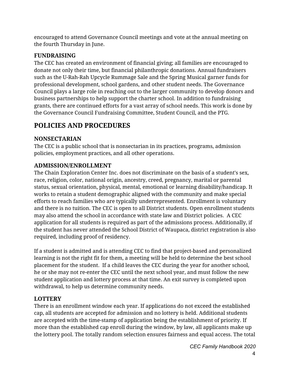encouraged to attend Governance Council meetings and vote at the annual meeting on the fourth Thursday in June.

#### **FUNDRAISING**

The CEC has created an environment of financial giving; all families are encouraged to donate not only their time, but financial philanthropic donations. Annual fundraisers such as the U-Rah-Rah Upcycle Rummage Sale and the Spring Musical garner funds for professional development, school gardens, and other student needs. The Governance Council plays a large role in reaching out to the larger community to develop donors and business partnerships to help support the charter school. In addition to fundraising grants, there are continued efforts for a vast array of school needs. This work is done by the Governance Council Fundraising Committee, Student Council, and the PTG.

## **POLICIES AND PROCEDURES**

#### **NONSECTARIAN**

The CEC is a public school that is nonsectarian in its practices, programs, admission policies, employment practices, and all other operations.

#### **ADMISSION/ENROLLMENT**

The Chain Exploration Center Inc. does not discriminate on the basis of a student's sex, race, religion, color, national origin, ancestry, creed, pregnancy, marital or parental status, sexual orientation, physical, mental, emotional or learning disability/handicap. It works to retain a student demographic aligned with the community and make special efforts to reach families who are typically underrepresented. Enrollment is voluntary and there is no tuition. The CEC is open to all District students. Open enrollment students may also attend the school in accordance with state law and District policies. A CEC application for all students is required as part of the admissions process. Additionally, if the student has never attended the School District of Waupaca, district registration is also required, including proof of residency.

If a student is admitted and is attending CEC to find that project-based and personalized learning is not the right fit for them, a meeting will be held to determine the best school placement for the student. If a child leaves the CEC during the year for another school, he or she may not re-enter the CEC until the next school year, and must follow the new student application and lottery process at that time. An exit survey is completed upon withdrawal, to help us determine community needs.

#### **LOTTERY**

There is an enrollment window each year. If applications do not exceed the established cap, all students are accepted for admission and no lottery is held. Additional students are accepted with the time-stamp of application being the establishment of priority. If more than the established cap enroll during the window, by law, all applicants make up the lottery pool. The totally random selection ensures fairness and equal access. The total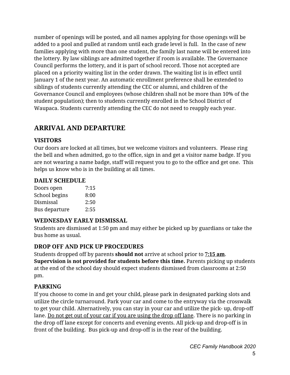number of openings will be posted, and all names applying for those openings will be added to a pool and pulled at random until each grade level is full. In the case of new families applying with more than one student, the family last name will be entered into the lottery. By law siblings are admitted together if room is available. The Governance Council performs the lottery, and it is part of school record. Those not accepted are placed on a priority waiting list in the order drawn. The waiting list is in effect until January 1 of the next year. An automatic enrollment preference shall be extended to siblings of students currently attending the CEC or alumni, and children of the Governance Council and employees (whose children shall not be more than 10% of the student population); then to students currently enrolled in the School District of Waupaca. Students currently attending the CEC do not need to reapply each year.

## **ARRIVAL AND DEPARTURE**

#### **VISITORS**

Our doors are locked at all times, but we welcome visitors and volunteers. Please ring the bell and when admitted, go to the office, sign in and get a visitor name badge. If you are not wearing a name badge, staff will request you to go to the office and get one. This helps us know who is in the building at all times.

#### **DAILY SCHEDULE**

| Doors open    | 7:15 |
|---------------|------|
| School begins | 8:00 |
| Dismissal     | 2:50 |
| Bus departure | 2:55 |

#### **WEDNESDAY EARLY DISMISSAL**

Students are dismissed at 1:50 pm and may either be picked up by guardians or take the bus home as usual.

#### **DROP OFF AND PICK UP PROCEDURES**

Students dropped off by parents **should not** arrive at school prior to **7:15 am**. **Supervision is not provided for students before this time.** Parents picking up students at the end of the school day should expect students dismissed from classrooms at 2:50 pm.

#### **PARKING**

If you choose to come in and get your child, please park in designated parking slots and utilize the circle turnaround. Park your car and come to the entryway via the crosswalk to get your child. Alternatively, you can stay in your car and utilize the pick- up, drop-off lane. Do not get out of your car if you are using the drop off lane. There is no parking in the drop off lane except for concerts and evening events. All pick-up and drop-off is in front of the building. Bus pick-up and drop-off is in the rear of the building.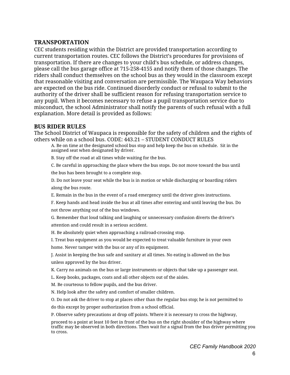#### **TRANSPORTATION**

CEC students residing within the District are provided transportation according to current transportation routes. CEC follows the District's procedures for provisions of transportation. If there are changes to your child's bus schedule, or address changes, please call the bus garage office at 715-258-4155 and notify them of those changes. The riders shall conduct themselves on the school bus as they would in the classroom except that reasonable visiting and conversation are permissible. The Waupaca Way behaviors are expected on the bus ride. Continued disorderly conduct or refusal to submit to the authority of the driver shall be sufficient reason for refusing transportation service to any pupil. When it becomes necessary to refuse a pupil transportation service due to misconduct, the school Administrator shall notify the parents of such refusal with a full explanation. More detail is provided as follows:

#### **BUS RIDER RULES**

The School District of Waupaca is responsible for the safety of children and the rights of others while on a school bus. CODE: 443.21 – STUDENT CONDUCT RULES

A. Be on time at the designated school bus stop and help keep the bus on schedule. Sit in the assigned seat when designated by driver.

B. Stay off the road at all times while waiting for the bus.

C. Be careful in approaching the place where the bus stops. Do not move toward the bus until the bus has been brought to a complete stop.

D. Do not leave your seat while the bus is in motion or while discharging or boarding riders along the bus route.

E. Remain in the bus in the event of a road emergency until the driver gives instructions.

F. Keep hands and head inside the bus at all times after entering and until leaving the bus. Do not throw anything out of the bus windows.

G. Remember that loud talking and laughing or unnecessary confusion diverts the driver's attention and could result in a serious accident.

H. Be absolutely quiet when approaching a railroad-crossing stop.

I. Treat bus equipment as you would be expected to treat valuable furniture in your own home. Never tamper with the bus or any of its equipment.

J. Assist in keeping the bus safe and sanitary at all times. No eating is allowed on the bus unless approved by the bus driver.

K. Carry no animals on the bus or large instruments or objects that take up a passenger seat.

L. Keep books, packages, coats and all other objects out of the aisles.

M. Be courteous to fellow pupils, and the bus driver.

N. Help look after the safety and comfort of smaller children.

O. Do not ask the driver to stop at places other than the regular bus stop; he is not permitted to

do this except by proper authorization from a school official.

P. Observe safety precautions at drop off points. Where it is necessary to cross the highway,

proceed to a point at least 10 feet in front of the bus on the right shoulder of the highway where traffic may be observed in both directions. Then wait for a signal from the bus driver permitting you to cross.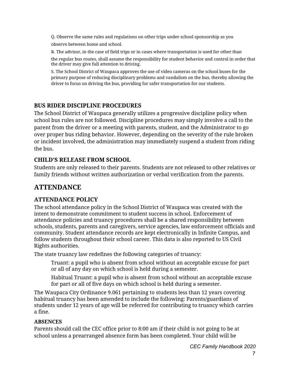Q. Observe the same rules and regulations on other trips under school sponsorship as you observe between home and school.

R. The advisor, in the case of field trips or in cases where transportation is used for other than

the regular bus routes, shall assume the responsibility for student behavior and control in order that the driver may give full attention to driving.

S. The School District of Waupaca approves the use of video cameras on the school buses for the primary purpose of reducing disciplinary problems and vandalism on the bus, thereby allowing the driver to focus on driving the bus, providing for safer transportation for our students.

#### **BUS RIDER DISCIPLINE PROCEDURES**

The School District of Waupaca generally utilizes a progressive discipline policy when school bus rules are not followed. Discipline procedures may simply involve a call to the parent from the driver or a meeting with parents, student, and the Administrator to go over proper bus riding behavior. However, depending on the severity of the rule broken or incident involved, the administration may immediately suspend a student from riding the bus.

#### **CHILD'S RELEASE FROM SCHOOL**

Students are only released to their parents. Students are not released to other relatives or family friends without written authorization or verbal verification from the parents.

## **ATTENDANCE**

#### **ATTENDANCE POLICY**

The school attendance policy in the School District of Waupaca was created with the intent to demonstrate commitment to student success in school. Enforcement of attendance policies and truancy procedures shall be a shared responsibility between schools, students, parents and caregivers, service agencies, law enforcement officials and community. Student attendance records are kept electronically in Infinite Campus, and follow students throughout their school career. This data is also reported to US Civil Rights authorities.

The state truancy law redefines the following categories of truancy:

Truant: a pupil who is absent from school without an acceptable excuse for part or all of any day on which school is held during a semester.

Habitual Truant: a pupil who is absent from school without an acceptable excuse for part or all of five days on which school is held during a semester.

The Waupaca City Ordinance 9.061 pertaining to students less than 12 years covering habitual truancy has been amended to include the following: Parents/guardians of students under 12 years of age will be referred for contributing to truancy which carries a fine.

#### **ABSENCES**

Parents should call the CEC office prior to 8:00 am if their child is not going to be at school unless a prearranged absence form has been completed. Your child will be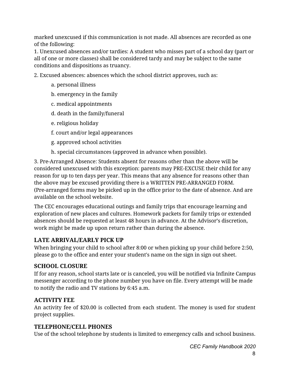marked unexcused if this communication is not made. All absences are recorded as one of the following:

1. Unexcused absences and/or tardies: A student who misses part of a school day (part or all of one or more classes) shall be considered tardy and may be subject to the same conditions and dispositions as truancy.

2. Excused absences: absences which the school district approves, such as:

- a. personal illness
- b. emergency in the family
- c. medical appointments
- d. death in the family/funeral
- e. religious holiday
- f. court and/or legal appearances
- g. approved school activities
- h. special circumstances (approved in advance when possible).

3. Pre-Arranged Absence: Students absent for reasons other than the above will be considered unexcused with this exception: parents may PRE-EXCUSE their child for any reason for up to ten days per year. This means that any absence for reasons other than the above may be excused providing there is a WRITTEN PRE-ARRANGED FORM. (Pre-arranged forms may be picked up in the office prior to the date of absence. And are available on the school website.

The CEC encourages educational outings and family trips that encourage learning and exploration of new places and cultures. Homework packets for family trips or extended absences should be requested at least 48 hours in advance. At the Advisor's discretion, work might be made up upon return rather than during the absence.

#### **LATE ARRIVAL/EARLY PICK UP**

When bringing your child to school after 8:00 or when picking up your child before 2:50, please go to the office and enter your student's name on the sign in sign out sheet.

#### **SCHOOL CLOSURE**

If for any reason, school starts late or is canceled, you will be notified via Infinite Campus messenger according to the phone number you have on file. Every attempt will be made to notify the radio and TV stations by 6:45 a.m.

#### **ACTIVITY FEE**

An activity fee of \$20.00 is collected from each student. The money is used for student project supplies.

#### **TELEPHONE/CELL PHONES**

Use of the school telephone by students is limited to emergency calls and school business.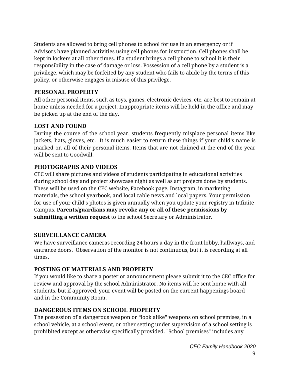Students are allowed to bring cell phones to school for use in an emergency or if Advisors have planned activities using cell phones for instruction. Cell phones shall be kept in lockers at all other times. If a student brings a cell phone to school it is their responsibility in the case of damage or loss. Possession of a cell phone by a student is a privilege, which may be forfeited by any student who fails to abide by the terms of this policy, or otherwise engages in misuse of this privilege.

#### **PERSONAL PROPERTY**

All other personal items, such as toys, games, electronic devices, etc. are best to remain at home unless needed for a project. Inappropriate items will be held in the office and may be picked up at the end of the day.

#### **LOST AND FOUND**

During the course of the school year, students frequently misplace personal items like jackets, hats, gloves, etc. It is much easier to return these things if your child's name is marked on all of their personal items. Items that are not claimed at the end of the year will be sent to Goodwill.

#### **PHOTOGRAPHS AND VIDEOS**

CEC will share pictures and videos of students participating in educational activities during school day and project showcase night as well as art projects done by students. These will be used on the CEC website, Facebook page, Instagram, in marketing materials, the school yearbook, and local cable news and local papers. Your permission for use of your child's photos is given annually when you update your registry in Infinite Campus. **Parents/guardians may revoke any or all of these permissions by submitting a written request** to the school Secretary or Administrator.

#### **SURVEILLANCE CAMERA**

We have surveillance cameras recording 24 hours a day in the front lobby, hallways, and entrance doors. Observation of the monitor is not continuous, but it is recording at all times.

#### **POSTING OF MATERIALS AND PROPERTY**

If you would like to share a poster or announcement please submit it to the CEC office for review and approval by the school Administrator. No items will be sent home with all students, but if approved, your event will be posted on the current happenings board and in the Community Room.

#### **DANGEROUS ITEMS ON SCHOOL PROPERTY**

The possession of a dangerous weapon or "look alike" weapons on school premises, in a school vehicle, at a school event, or other setting under supervision of a school setting is prohibited except as otherwise specifically provided. "School premises" includes any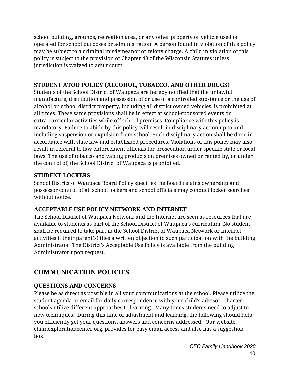school building, grounds, recreation area, or any other property or vehicle used or operated for school purposes or administration. A person found in violation of this policy may be subject to a criminal misdemeanor or felony charge. A child in violation of this policy is subject to the provision of Chapter 48 of the Wisconsin Statutes unless jurisdiction is waived to adult court.

#### **STUDENT ATOD POLICY (ALCOHOL, TOBACCO, AND OTHER DRUGS)**

Students of the School District of Waupaca are hereby notified that the unlawful manufacture, distribution and possession of or use of a controlled substance or the use of alcohol on school district property, including all district owned vehicles, is prohibited at all times. These same provisions shall be in effect at school-sponsored events or extra-curricular activities while off school premises. Compliance with this policy is mandatory. Failure to abide by this policy will result in disciplinary action up to and including suspension or expulsion from school. Such disciplinary action shall be done in accordance with state law and established procedures. Violations of this policy may also result in referral to law enforcement officials for prosecution under specific state or local laws. The use of tobacco and vaping products on premises owned or rented by, or under the control of, the School District of Waupaca is prohibited.

#### **STUDENT LOCKERS**

School District of Waupaca Board Policy specifies the Board retains ownership and possessor control of all school lockers and school officials may conduct locker searches without notice.

#### **ACCEPTABLE USE POLICY NETWORK AND INTERNET**

The School District of Waupaca Network and the Internet are seen as resources that are available to students as part of the School District of Waupaca's curriculum. No student shall be required to take part in the School District of Waupaca Network or Internet activities if their parent(s) files a written objection to such participation with the building Administrator. The District's Acceptable Use Policy is available from the building Administrator upon request.

## **COMMUNICATION POLICIES**

#### **QUESTIONS AND CONCERNS**

Please be as direct as possible in all your communications at the school. Please utilize the student agenda or email for daily correspondence with your child's advisor. Charter schools utilize different approaches to learning. Many times students need to adjust to new techniques. During this time of adjustment and learning, the following should help you efficiently get your questions, answers and concerns addressed. Our website, chainexplorationcenter.org, provides for easy email access and also has a suggestion box.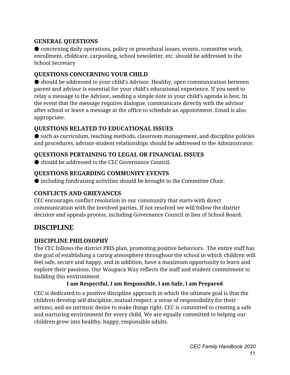#### **GENERAL QUESTIONS**

● concerning daily operations, policy or procedural issues, events, committee work, enrollment, childcare, carpooling, school newsletter, etc. should be addressed to the School Secretary

#### **QUESTIONS CONCERNING YOUR CHILD**

● should be addressed to your child's Advisor. Healthy, open communication between parent and advisor is essential for your child's educational experience. If you need to relay a message to the Advisor, sending a simple note in your child's agenda is best. In the event that the message requires dialogue, communicate directly with the advisor after school or leave a message at the office to schedule an appointment. Email is also appropriate.

#### **QUESTIONS RELATED TO EDUCATIONAL ISSUES**

● such as curriculum, teaching methods, classroom management, and discipline policies and procedures, advisor-student relationships should be addressed to the Administrator.

#### **QUESTIONS PERTAINING TO LEGAL OR FINANCIAL ISSUES**

● should be addressed to the CEC Governance Council.

#### **QUESTIONS REGARDING COMMUNITY EVENTS**

● including fundraising activities should be brought to the Committee Chair.

#### **CONFLICTS AND GRIEVANCES**

CEC encourages conflict resolution in our community that starts with direct communication with the involved parties. If not resolved we will follow the district decision and appeals process, including Governance Council in lieu of School Board.

#### **DISCIPLINE**

#### **DISCIPLINE PHILOSOPHY**

The CEC follows the district PBIS plan, promoting positive behaviors. The entire staff has the goal of establishing a caring atmosphere throughout the school in which children will feel safe, secure and happy, and in addition, have a maximum opportunity to learn and explore their passions. Our Waupaca Way reflects the staff and student commitment to building this environment.

#### **I am Respectful, I am Responsible, I am Safe, I am Prepared**

CEC is dedicated to a positive discipline approach in which the ultimate goal is that the children develop self-discipline, mutual respect, a sense of responsibility for their actions, and an intrinsic desire to make things right. CEC is committed to creating a safe and nurturing environment for every child. We are equally committed to helping our children grow into healthy, happy, responsible adults.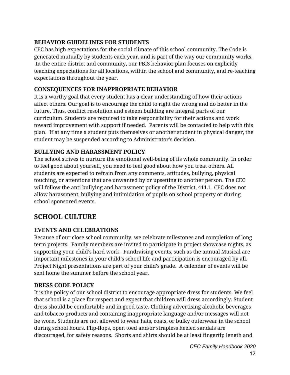#### **BEHAVIOR GUIDELINES FOR STUDENTS**

CEC has high expectations for the social climate of this school community. The Code is generated mutually by students each year, and is part of the way our community works. In the entire district and community, our PBIS behavior plan focuses on explicitly teaching expectations for all locations, within the school and community, and re-teaching expectations throughout the year.

#### **CONSEQUENCES FOR INAPPROPRIATE BEHAVIOR**

It is a worthy goal that every student has a clear understanding of how their actions affect others. Our goal is to encourage the child to right the wrong and do better in the future. Thus, conflict resolution and esteem building are integral parts of our curriculum. Students are required to take responsibility for their actions and work toward improvement with support if needed. Parents will be contacted to help with this plan. If at any time a student puts themselves or another student in physical danger, the student may be suspended according to Administrator's decision.

#### **BULLYING AND HARASSMENT POLICY**

The school strives to nurture the emotional well-being of its whole community. In order to feel good about yourself, you need to feel good about how you treat others. All students are expected to refrain from any comments, attitudes, bullying, physical touching, or attentions that are unwanted by or upsetting to another person. The CEC will follow the anti bullying and harassment policy of the District, 411.1. CEC does not allow harassment, bullying and intimidation of pupils on school property or during school sponsored events.

## **SCHOOL CULTURE**

#### **EVENTS AND CELEBRATIONS**

Because of our close school community, we celebrate milestones and completion of long term projects. Family members are invited to participate in project showcase nights, as supporting your child's hard work. Fundraising events, such as the annual Musical are important milestones in your child's school life and participation is encouraged by all. Project Night presentations are part of your child's grade. A calendar of events will be sent home the summer before the school year.

#### **DRESS CODE POLICY**

It is the policy of our school district to encourage appropriate dress for students. We feel that school is a place for respect and expect that children will dress accordingly. Student dress should be comfortable and in good taste. Clothing advertising alcoholic beverages and tobacco products and containing inappropriate language and/or messages will not be worn. Students are not allowed to wear hats, coats, or bulky outerwear in the school during school hours. Flip-flops, open toed and/or strapless heeled sandals are discouraged, for safety reasons. Shorts and shirts should be at least fingertip length and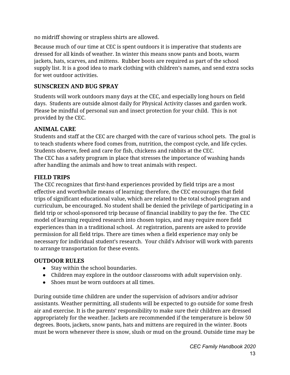no midriff showing or strapless shirts are allowed.

Because much of our time at CEC is spent outdoors it is imperative that students are dressed for all kinds of weather. In winter this means snow pants and boots, warm jackets, hats, scarves, and mittens. Rubber boots are required as part of the school supply list. It is a good idea to mark clothing with children's names, and send extra socks for wet outdoor activities.

#### **SUNSCREEN AND BUG SPRAY**

Students will work outdoors many days at the CEC, and especially long hours on field days. Students are outside almost daily for Physical Activity classes and garden work. Please be mindful of personal sun and insect protection for your child. This is not provided by the CEC.

#### **ANIMAL CARE**

Students and staff at the CEC are charged with the care of various school pets. The goal is to teach students where food comes from, nutrition, the compost cycle, and life cycles. Students observe, feed and care for fish, chickens and rabbits at the CEC. The CEC has a safety program in place that stresses the importance of washing hands after handling the animals and how to treat animals with respect.

#### **FIELD TRIPS**

The CEC recognizes that first-hand experiences provided by field trips are a most effective and worthwhile means of learning; therefore, the CEC encourages that field trips of significant educational value, which are related to the total school program and curriculum, be encouraged. No student shall be denied the privilege of participating in a field trip or school-sponsored trip because of financial inability to pay the fee. The CEC model of learning required research into chosen topics, and may require more field experiences than in a traditional school. At registration, parents are asked to provide permission for all field trips. There are times when a field experience may only be necessary for individual student's research. Your child's Advisor will work with parents to arrange transportation for these events.

#### **OUTDOOR RULES**

- Stay within the school boundaries.
- Children may explore in the outdoor classrooms with adult supervision only.
- Shoes must be worn outdoors at all times.

During outside time children are under the supervision of advisors and/or advisor assistants. Weather permitting, all students will be expected to go outside for some fresh air and exercise. It is the parents' responsibility to make sure their children are dressed appropriately for the weather. Jackets are recommended if the temperature is below 50 degrees. Boots, jackets, snow pants, hats and mittens are required in the winter. Boots must be worn whenever there is snow, slush or mud on the ground. Outside time may be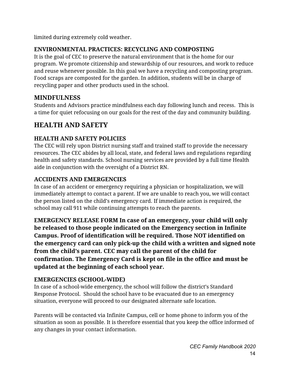limited during extremely cold weather.

#### **ENVIRONMENTAL PRACTICES: RECYCLING AND COMPOSTING**

It is the goal of CEC to preserve the natural environment that is the home for our program. We promote citizenship and stewardship of our resources, and work to reduce and reuse whenever possible. In this goal we have a recycling and composting program. Food scraps are composted for the garden. In addition, students will be in charge of recycling paper and other products used in the school.

#### **MINDFULNESS**

Students and Advisors practice mindfulness each day following lunch and recess. This is a time for quiet refocusing on our goals for the rest of the day and community building.

## **HEALTH AND SAFETY**

#### **HEALTH AND SAFETY POLICIES**

The CEC will rely upon District nursing staff and trained staff to provide the necessary resources. The CEC abides by all local, state, and federal laws and regulations regarding health and safety standards. School nursing services are provided by a full time Health aide in conjunction with the oversight of a District RN.

#### **ACCIDENTS AND EMERGENCIES**

In case of an accident or emergency requiring a physician or hospitalization, we will immediately attempt to contact a parent. If we are unable to reach you, we will contact the person listed on the child's emergency card. If immediate action is required, the school may call 911 while continuing attempts to reach the parents.

**EMERGENCY RELEASE FORM In case of an emergency, your child will only be released to those people indicated on the Emergency section in Infinite Campus. Proof of identification will be required. Those NOT identified on the emergency card can only pick-up the child with a written and signed note from the child's parent. CEC may call the parent of the child for confirmation. The Emergency Card is kept on file in the office and must be updated at the beginning of each school year.**

#### **EMERGENCIES (SCHOOL-WIDE)**

In case of a school-wide emergency, the school will follow the district's Standard Response Protocol. Should the school have to be evacuated due to an emergency situation, everyone will proceed to our designated alternate safe location.

Parents will be contacted via Infinite Campus, cell or home phone to inform you of the situation as soon as possible. It is therefore essential that you keep the office informed of any changes in your contact information.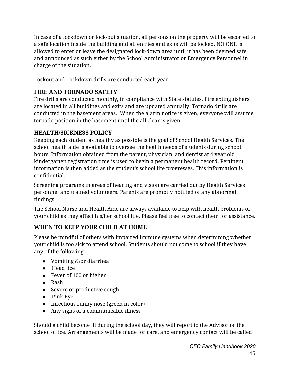In case of a lockdown or lock-out situation, all persons on the property will be escorted to a safe location inside the building and all entries and exits will be locked. NO ONE is allowed to enter or leave the designated lock-down area until it has been deemed safe and announced as such either by the School Administrator or Emergency Personnel in charge of the situation.

Lockout and Lockdown drills are conducted each year.

#### **FIRE AND TORNADO SAFETY**

Fire drills are conducted monthly, in compliance with State statutes. Fire extinguishers are located in all buildings and exits and are updated annually. Tornado drills are conducted in the basement areas. When the alarm notice is given, everyone will assume tornado position in the basement until the all clear is given.

#### **HEALTH/SICKNESS POLICY**

Keeping each student as healthy as possible is the goal of School Health Services. The school health aide is available to oversee the health needs of students during school hours. Information obtained from the parent, physician, and dentist at 4 year old kindergarten registration time is used to begin a permanent health record. Pertinent information is then added as the student's school life progresses. This information is confidential.

Screening programs in areas of hearing and vision are carried out by Health Services personnel and trained volunteers. Parents are promptly notified of any abnormal findings.

The School Nurse and Health Aide are always available to help with health problems of your child as they affect his/her school life. Please feel free to contact them for assistance.

#### **WHEN TO KEEP YOUR CHILD AT HOME**

Please be mindful of others with impaired immune systems when determining whether your child is too sick to attend school. Students should not come to school if they have any of the following:

- Vomiting &/or diarrhea
- Head lice
- Fever of 100 or higher
- Rash
- Severe or productive cough
- Pink Eye
- Infectious runny nose (green in color)
- Any signs of a communicable illness

Should a child become ill during the school day, they will report to the Advisor or the school office. Arrangements will be made for care, and emergency contact will be called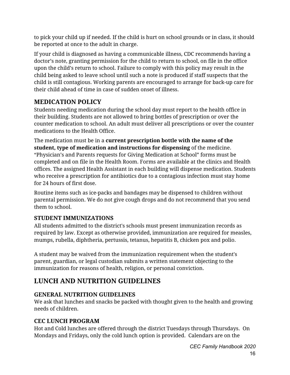to pick your child up if needed. If the child is hurt on school grounds or in class, it should be reported at once to the adult in charge.

If your child is diagnosed as having a communicable illness, CDC recommends having a doctor's note, granting permission for the child to return to school, on file in the office upon the child's return to school. Failure to comply with this policy may result in the child being asked to leave school until such a note is produced if staff suspects that the child is still contagious. Working parents are encouraged to arrange for back-up care for their child ahead of time in case of sudden onset of illness.

#### **MEDICATION POLICY**

Students needing medication during the school day must report to the health office in their building. Students are not allowed to bring bottles of prescription or over the counter medication to school. An adult must deliver all prescriptions or over the counter medications to the Health Office.

The medication must be in a **current prescription bottle with the name of the student, type of medication and instructions for dispensing** of the medicine. "Physician's and Parents requests for Giving Medication at School" forms must be completed and on file in the Health Room. Forms are available at the clinics and Health offices. The assigned Health Assistant in each building will dispense medication. Students who receive a prescription for antibiotics due to a contagious infection must stay home for 24 hours of first dose.

Routine items such as ice-packs and bandages may be dispensed to children without parental permission. We do not give cough drops and do not recommend that you send them to school.

#### **STUDENT IMMUNIZATIONS**

All students admitted to the district's schools must present immunization records as required by law. Except as otherwise provided, immunization are required for measles, mumps, rubella, diphtheria, pertussis, tetanus, hepatitis B, chicken pox and polio.

A student may be waived from the immunization requirement when the student's parent, guardian, or legal custodian submits a written statement objecting to the immunization for reasons of health, religion, or personal conviction.

## **LUNCH AND NUTRITION GUIDELINES**

#### **GENERAL NUTRITION GUIDELINES**

We ask that lunches and snacks be packed with thought given to the health and growing needs of children.

#### **CEC LUNCH PROGRAM**

Hot and Cold lunches are offered through the district Tuesdays through Thursdays. On Mondays and Fridays, only the cold lunch option is provided. Calendars are on the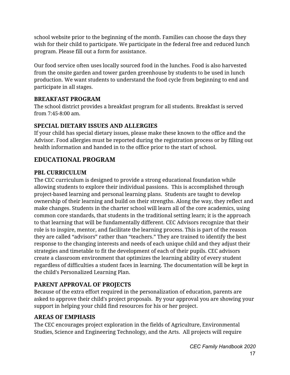school website prior to the beginning of the month. Families can choose the days they wish for their child to participate. We participate in the federal free and reduced lunch program. Please fill out a form for assistance.

Our food service often uses locally sourced food in the lunches. Food is also harvested from the onsite garden and tower garden greenhouse by students to be used in lunch production. We want students to understand the food cycle from beginning to end and participate in all stages.

#### **BREAKFAST PROGRAM**

The school district provides a breakfast program for all students. Breakfast is served from 7:45-8:00 am.

#### **SPECIAL DIETARY ISSUES AND ALLERGIES**

If your child has special dietary issues, please make these known to the office and the Advisor. Food allergies must be reported during the registration process or by filling out health information and handed in to the office prior to the start of school.

## **EDUCATIONAL PROGRAM**

#### **PBL CURRICULUM**

The CEC curriculum is designed to provide a strong educational foundation while allowing students to explore their individual passions. This is accomplished through project-based learning and personal learning plans. Students are taught to develop ownership of their learning and build on their strengths. Along the way, they reflect and make changes. Students in the charter school will learn all of the core academics, using common core standards, that students in the traditional setting learn; it is the approach to that learning that will be fundamentally different. CEC Advisors recognize that their role is to inspire, mentor, and facilitate the learning process. This is part of the reason they are called "advisors" rather than "teachers." They are trained to identify the best response to the changing interests and needs of each unique child and they adjust their strategies and timetable to fit the development of each of their pupils. CEC advisors create a classroom environment that optimizes the learning ability of every student regardless of difficulties a student faces in learning. The documentation will be kept in the child's Personalized Learning Plan.

#### **PARENT APPROVAL OF PROJECTS**

Because of the extra effort required in the personalization of education, parents are asked to approve their child's project proposals. By your approval you are showing your support in helping your child find resources for his or her project.

#### **AREAS OF EMPHASIS**

The CEC encourages project exploration in the fields of Agriculture, Environmental Studies, Science and Engineering Technology, and the Arts. All projects will require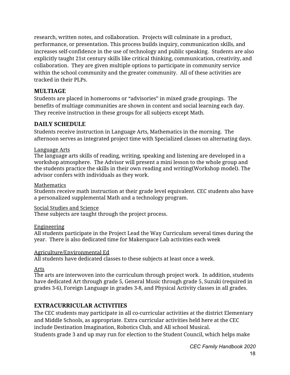research, written notes, and collaboration. Projects will culminate in a product, performance, or presentation. This process builds inquiry, communication skills, and increases self-confidence in the use of technology and public speaking. Students are also explicitly taught 21st century skills like critical thinking, communication, creativity, and collaboration. They are given multiple options to participate in community service within the school community and the greater community. All of these activities are tracked in their PLPs.

#### **MULTIAGE**

Students are placed in homerooms or "advisories" in mixed grade groupings. The benefits of multiage communities are shown in content and social learning each day. They receive instruction in these groups for all subjects except Math.

#### **DAILY SCHEDULE**

Students receive instruction in Language Arts, Mathematics in the morning. The afternoon serves as integrated project time with Specialized classes on alternating days.

#### Language Arts

The language arts skills of reading, writing, speaking and listening are developed in a workshop atmosphere. The Advisor will present a mini lesson to the whole group and the students practice the skills in their own reading and writing(Workshop model). The advisor confers with individuals as they work.

#### **Mathematics**

Students receive math instruction at their grade level equivalent. CEC students also have a personalized supplemental Math and a technology program.

#### Social Studies and Science

These subjects are taught through the project process.

#### Engineering

All students participate in the Project Lead the Way Curriculum several times during the year. There is also dedicated time for Makerspace Lab activities each week

#### Agriculture/Environmental Ed

All students have dedicated classes to these subjects at least once a week.

#### Arts

The arts are interwoven into the curriculum through project work. In addition, students have dedicated Art through grade 5, General Music through grade 5, Suzuki (required in grades 3-6), Foreign Language in grades 3-8, and Physical Activity classes in all grades.

#### **EXTRACURRICULAR ACTIVITIES**

The CEC students may participate in all co-curricular activities at the district Elementary and Middle Schools, as appropriate. Extra curricular activities held here at the CEC include Destination Imagination, Robotics Club, and All school Musical. Students grade 3 and up may run for election to the Student Council, which helps make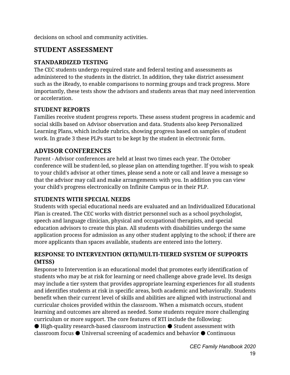decisions on school and community activities.

## **STUDENT ASSESSMENT**

#### **STANDARDIZED TESTING**

The CEC students undergo required state and federal testing and assessments as administered to the students in the district. In addition, they take district assessment such as the iReady, to enable comparisons to norming groups and track progress. More importantly, these tests show the advisors and students areas that may need intervention or acceleration.

#### **STUDENT REPORTS**

Families receive student progress reports. These assess student progress in academic and social skills based on Advisor observation and data. Students also keep Personalized Learning Plans, which include rubrics, showing progress based on samples of student work. In grade 3 these PLPs start to be kept by the student in electronic form.

#### **ADVISOR CONFERENCES**

Parent - Advisor conferences are held at least two times each year. The October conference will be student-led, so please plan on attending together. If you wish to speak to your child's advisor at other times, please send a note or call and leave a message so that the advisor may call and make arrangements with you. In addition you can view your child's progress electronically on Infinite Campus or in their PLP.

#### **STUDENTS WITH SPECIAL NEEDS**

Students with special educational needs are evaluated and an Individualized Educational Plan is created. The CEC works with district personnel such as a school psychologist, speech and language clinician, physical and occupational therapists, and special education advisors to create this plan. All students with disabilities undergo the same application process for admission as any other student applying to the school; if there are more applicants than spaces available, students are entered into the lottery.

#### **RESPONSE TO INTERVENTION (RTI)/MULTI-TIERED SYSTEM OF SUPPORTS (MTSS)**

Response to Intervention is an educational model that promotes early identification of students who may be at risk for learning or need challenge above grade level. Its design may include a tier system that provides appropriate learning experiences for all students and identifies students at risk in specific areas, both academic and behaviorally. Students benefit when their current level of skills and abilities are aligned with instructional and curricular choices provided within the classroom. When a mismatch occurs, student learning and outcomes are altered as needed. Some students require more challenging curriculum or more support. The core features of RTI include the following:

● High-quality research-based classroom instruction ● Student assessment with classroom focus ● Universal screening of academics and behavior ● Continuous